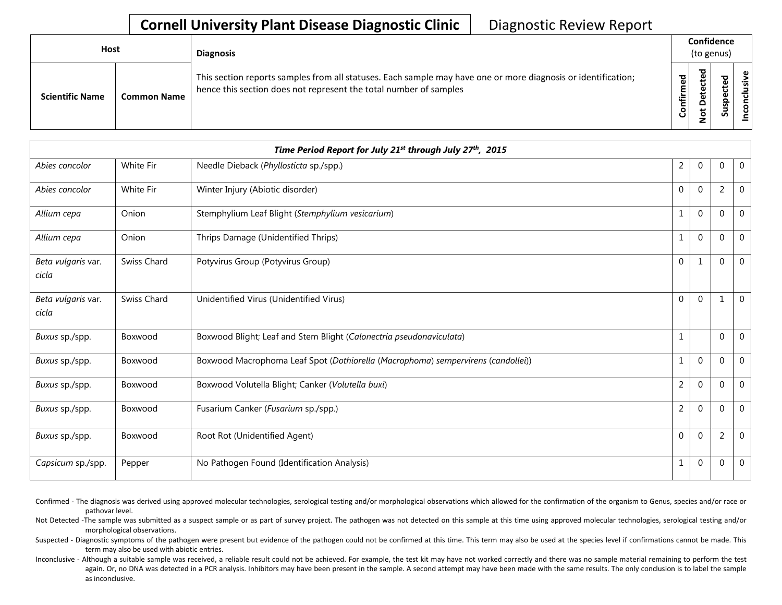| <b>Host</b> |                        |                    | <b>Diagnosis</b>                                                                                                                                                                   |                | (to genus)            | Confidence             |   |  |
|-------------|------------------------|--------------------|------------------------------------------------------------------------------------------------------------------------------------------------------------------------------------|----------------|-----------------------|------------------------|---|--|
|             | <b>Scientific Name</b> | <b>Common Name</b> | This section reports samples from all statuses. Each sample may have one or more diagnosis or identification;<br>hence this section does not represent the total number of samples | ъ,<br>Confirme | ᇃ<br>Φ<br>Φ<br>Φ<br>Ö | ъ<br>ω<br>ω<br>٩s<br>ഗ | ω |  |

|                             |                  | Time Period Report for July 21 <sup>st</sup> through July 27 <sup>th</sup> , 2015 |                |              |                |              |
|-----------------------------|------------------|-----------------------------------------------------------------------------------|----------------|--------------|----------------|--------------|
| Abies concolor              | White Fir        | Needle Dieback (Phyllosticta sp./spp.)                                            | $\overline{2}$ | $\Omega$     | 0              | $\mathbf{0}$ |
| Abies concolor              | <b>White Fir</b> | Winter Injury (Abiotic disorder)                                                  | $\Omega$       | $\mathbf{0}$ | 2              | $\mathbf{0}$ |
| Allium cepa                 | Onion            | Stemphylium Leaf Blight (Stemphylium vesicarium)                                  | $\mathbf{1}$   | $\Omega$     | $\Omega$       | $\mathbf{0}$ |
| Allium cepa                 | Onion            | Thrips Damage (Unidentified Thrips)                                               | $\mathbf{1}$   | $\Omega$     | $\Omega$       | $\mathbf{0}$ |
| Beta vulgaris var.<br>cicla | Swiss Chard      | Potyvirus Group (Potyvirus Group)                                                 | $\Omega$       | $\mathbf{1}$ | $\Omega$       | $\mathbf 0$  |
| Beta vulgaris var.<br>cicla | Swiss Chard      | Unidentified Virus (Unidentified Virus)                                           | $\Omega$       | $\Omega$     | 1              | $\mathbf 0$  |
| Buxus sp./spp.              | Boxwood          | Boxwood Blight; Leaf and Stem Blight (Calonectria pseudonaviculata)               | $\mathbf{1}$   |              | $\Omega$       | $\mathbf{0}$ |
| Buxus sp./spp.              | Boxwood          | Boxwood Macrophoma Leaf Spot (Dothiorella (Macrophoma) sempervirens (candollei))  | $\mathbf{1}$   | $\Omega$     | $\Omega$       | $\mathbf{0}$ |
| Buxus sp./spp.              | Boxwood          | Boxwood Volutella Blight; Canker (Volutella buxi)                                 | $\overline{2}$ | $\Omega$     | $\Omega$       | $\mathbf{0}$ |
| Buxus sp./spp.              | Boxwood          | Fusarium Canker (Fusarium sp./spp.)                                               | $\overline{2}$ | $\Omega$     | $\Omega$       | $\mathbf 0$  |
| Buxus sp./spp.              | Boxwood          | Root Rot (Unidentified Agent)                                                     | $\Omega$       | $\Omega$     | $\overline{2}$ | $\mathbf{0}$ |
| Capsicum sp./spp.           | Pepper           | No Pathogen Found (Identification Analysis)                                       | $\mathbf{1}$   | $\mathbf{0}$ | $\Omega$       | $\mathbf{0}$ |

Confirmed - The diagnosis was derived using approved molecular technologies, serological testing and/or morphological observations which allowed for the confirmation of the organism to Genus, species and/or race or pathovar level.

Not Detected -The sample was submitted as a suspect sample or as part of survey project. The pathogen was not detected on this sample at this time using approved molecular technologies, serological testing and/or morphological observations.

Suspected - Diagnostic symptoms of the pathogen were present but evidence of the pathogen could not be confirmed at this time. This term may also be used at the species level if confirmations cannot be made. This term may also be used with abiotic entries.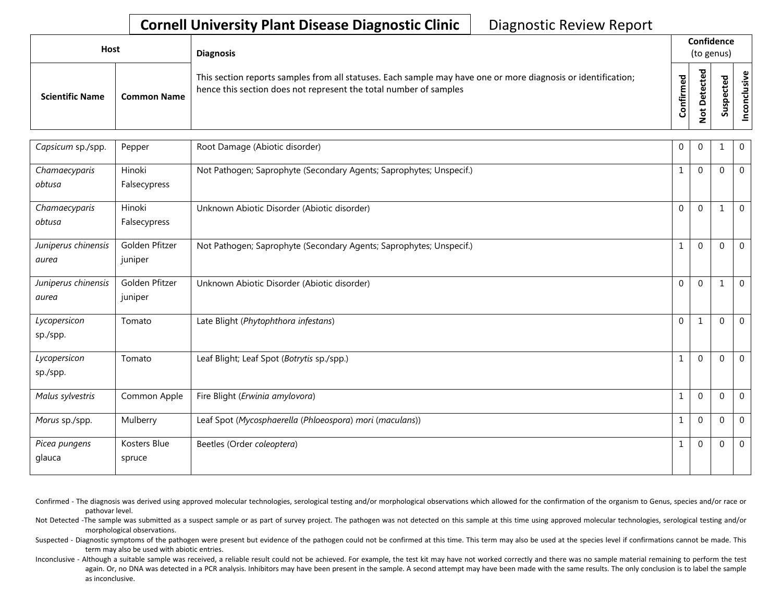| Host                   |                    | <b>Diagnosis</b>                                                                                                                                                                   |                            | Confidence<br>(to genus) |                |           |  |
|------------------------|--------------------|------------------------------------------------------------------------------------------------------------------------------------------------------------------------------------|----------------------------|--------------------------|----------------|-----------|--|
| <b>Scientific Name</b> | <b>Common Name</b> | This section reports samples from all statuses. Each sample may have one or more diagnosis or identification;<br>hence this section does not represent the total number of samples | ᅙ<br>Φ<br>nfirm<br>$\circ$ | ᇃ<br>۵<br>سە<br>۰        | ⊻<br><u>പ്</u> | ്ധി<br>"。 |  |

| Capsicum sp./spp.            | Pepper                    | Root Damage (Abiotic disorder)                                      | 0            | $\overline{0}$ |              | $\mathbf 0$  |
|------------------------------|---------------------------|---------------------------------------------------------------------|--------------|----------------|--------------|--------------|
| Chamaecyparis<br>obtusa      | Hinoki<br>Falsecypress    | Not Pathogen; Saprophyte (Secondary Agents; Saprophytes; Unspecif.) | $\mathbf{1}$ | $\Omega$       | $\Omega$     | $\mathbf 0$  |
| Chamaecyparis                | Hinoki                    | Unknown Abiotic Disorder (Abiotic disorder)                         | $\mathbf 0$  | $\mathbf 0$    | $\mathbf{1}$ | $\mathbf 0$  |
| obtusa                       | Falsecypress              |                                                                     |              |                |              |              |
| Juniperus chinensis<br>aurea | Golden Pfitzer<br>juniper | Not Pathogen; Saprophyte (Secondary Agents; Saprophytes; Unspecif.) | $\mathbf{1}$ | $\Omega$       | $\Omega$     | $\mathbf 0$  |
| Juniperus chinensis<br>aurea | Golden Pfitzer<br>juniper | Unknown Abiotic Disorder (Abiotic disorder)                         | $\mathbf 0$  | $\Omega$       |              | $\mathbf 0$  |
| Lycopersicon<br>sp./spp.     | Tomato                    | Late Blight (Phytophthora infestans)                                | 0            | $\mathbf{1}$   | $\Omega$     | $\mathbf 0$  |
| Lycopersicon<br>sp./spp.     | Tomato                    | Leaf Blight; Leaf Spot (Botrytis sp./spp.)                          | $1\,$        | $\Omega$       | $\Omega$     | $\mathbf{0}$ |
| Malus sylvestris             | Common Apple              | Fire Blight (Erwinia amylovora)                                     | $\mathbf{1}$ | $\mathbf 0$    | $\Omega$     | $\mathbf 0$  |
| Morus sp./spp.               | Mulberry                  | Leaf Spot (Mycosphaerella (Phloeospora) mori (maculans))            | $\mathbf{1}$ | $\Omega$       | $\Omega$     | $\mathbf{0}$ |
| Picea pungens<br>glauca      | Kosters Blue<br>spruce    | Beetles (Order coleoptera)                                          | 1            | $\mathbf{0}$   | $\Omega$     | $\mathbf 0$  |

Confirmed - The diagnosis was derived using approved molecular technologies, serological testing and/or morphological observations which allowed for the confirmation of the organism to Genus, species and/or race or pathovar level.

Not Detected -The sample was submitted as a suspect sample or as part of survey project. The pathogen was not detected on this sample at this time using approved molecular technologies, serological testing and/or morphological observations.

Suspected - Diagnostic symptoms of the pathogen were present but evidence of the pathogen could not be confirmed at this time. This term may also be used at the species level if confirmations cannot be made. This term may also be used with abiotic entries.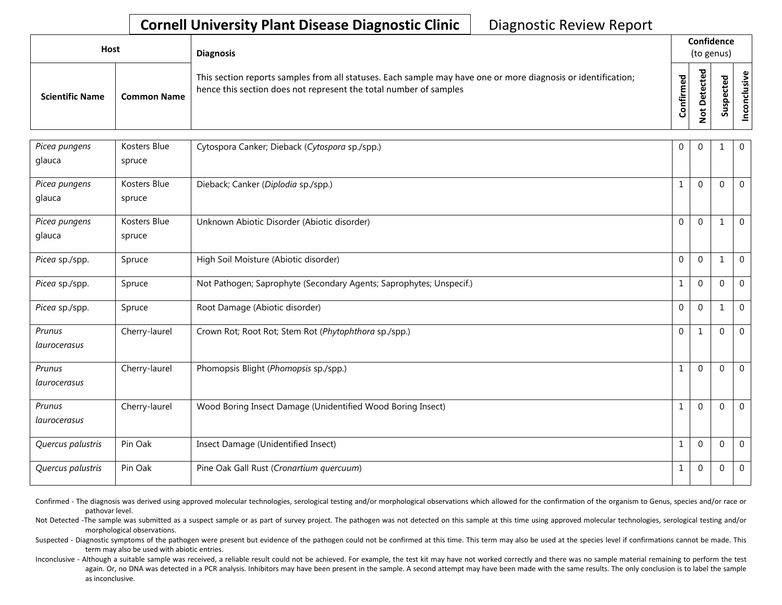| Host                   |                    | <b>Diagnosis</b>                                                                                                                                                                   |                   | Confidence<br>(to genus)                |                                                          |            |
|------------------------|--------------------|------------------------------------------------------------------------------------------------------------------------------------------------------------------------------------|-------------------|-----------------------------------------|----------------------------------------------------------|------------|
| <b>Scientific Name</b> | <b>Common Name</b> | This section reports samples from all statuses. Each sample may have one or more diagnosis or identification;<br>hence this section does not represent the total number of samples | ਠ<br>Φ<br>Confiri | cted<br>ete<br>≏<br>$\overline{\sigma}$ | $\overline{\phantom{a}}$<br>요<br>ن<br>௨<br><b>i</b><br>ౘ | usiv<br>უ. |

| Picea pungens     | Kosters Blue  | Cytospora Canker; Dieback (Cytospora sp./spp.)                      | $\mathbf 0$  | $\Omega$     |                | $\mathbf 0$    |
|-------------------|---------------|---------------------------------------------------------------------|--------------|--------------|----------------|----------------|
| glauca            | spruce        |                                                                     |              |              |                |                |
| Picea pungens     | Kosters Blue  | Dieback; Canker (Diplodia sp./spp.)                                 | $\mathbf{1}$ | $\Omega$     | $\mathbf 0$    | $\mathbf 0$    |
| glauca            | spruce        |                                                                     |              |              |                |                |
| Picea pungens     | Kosters Blue  | Unknown Abiotic Disorder (Abiotic disorder)                         | $\Omega$     | $\Omega$     | 1              | $\mathbf 0$    |
| glauca            | spruce        |                                                                     |              |              |                |                |
| Picea sp./spp.    | Spruce        | High Soil Moisture (Abiotic disorder)                               | $\Omega$     | $\Omega$     | $\mathbf{1}$   | $\overline{0}$ |
| Picea sp./spp.    | Spruce        | Not Pathogen; Saprophyte (Secondary Agents; Saprophytes; Unspecif.) | 1            | $\Omega$     | $\Omega$       | $\mathbf 0$    |
| Picea sp./spp.    | Spruce        | Root Damage (Abiotic disorder)                                      | $\Omega$     | $\Omega$     | -1             | $\mathbf 0$    |
| Prunus            | Cherry-laurel | Crown Rot; Root Rot; Stem Rot (Phytophthora sp./spp.)               | $\Omega$     | $\mathbf{1}$ | $\mathbf 0$    | $\overline{0}$ |
| laurocerasus      |               |                                                                     |              |              |                |                |
| Prunus            | Cherry-laurel | Phomopsis Blight (Phomopsis sp./spp.)                               | 1            | $\Omega$     | $\mathbf 0$    | $\mathbf 0$    |
| laurocerasus      |               |                                                                     |              |              |                |                |
| Prunus            | Cherry-laurel | Wood Boring Insect Damage (Unidentified Wood Boring Insect)         | 1            | $\Omega$     | $\mathbf 0$    | $\Omega$       |
| laurocerasus      |               |                                                                     |              |              |                |                |
| Quercus palustris | Pin Oak       | Insect Damage (Unidentified Insect)                                 | $\mathbf{1}$ | $\Omega$     | $\mathbf 0$    | $\overline{0}$ |
| Quercus palustris | Pin Oak       | Pine Oak Gall Rust (Cronartium quercuum)                            | 1            | $\Omega$     | $\overline{0}$ | $\mathbf 0$    |

Confirmed - The diagnosis was derived using approved molecular technologies, serological testing and/or morphological observations which allowed for the confirmation of the organism to Genus, species and/or race or pathovar level.

Not Detected -The sample was submitted as a suspect sample or as part of survey project. The pathogen was not detected on this sample at this time using approved molecular technologies, serological testing and/or morphological observations.

Suspected - Diagnostic symptoms of the pathogen were present but evidence of the pathogen could not be confirmed at this time. This term may also be used at the species level if confirmations cannot be made. This term may also be used with abiotic entries.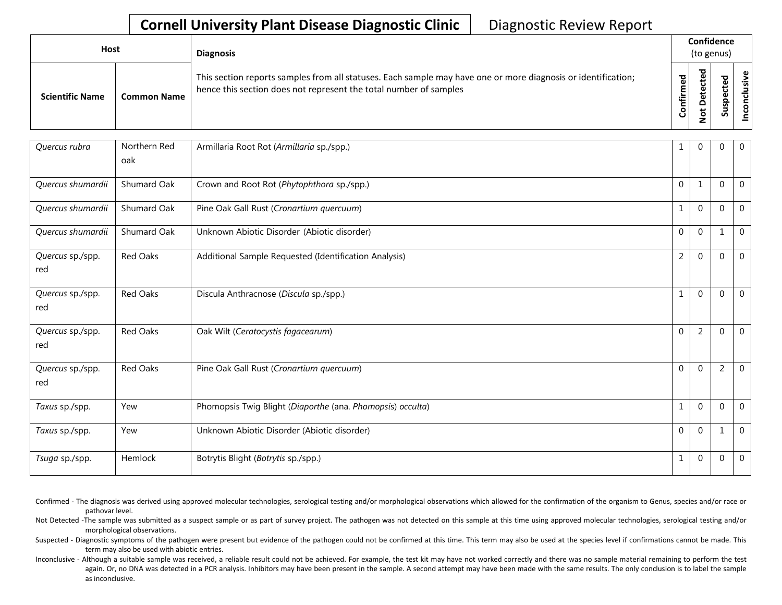| Host                   |                    | <b>Diagnosis</b>                                                                                                                                                                   |                                | Confidence<br>(to genus)                                 |                             |                             |
|------------------------|--------------------|------------------------------------------------------------------------------------------------------------------------------------------------------------------------------------|--------------------------------|----------------------------------------------------------|-----------------------------|-----------------------------|
| <b>Scientific Name</b> | <b>Common Name</b> | This section reports samples from all statuses. Each sample may have one or more diagnosis or identification;<br>hence this section does not represent the total number of samples | $\overline{e}$<br>Ě<br>Confiri | ᅙ<br>ω<br>ω<br>۵<br>۵<br>$\overline{\sigma}$<br>-<br>c., | ᅙ<br>Φ<br>ပ<br>௨<br>S<br>ഗ് | usive<br>᠊ᠣ<br>$\circ$<br>ت |

| Quercus rubra           | Northern Red<br>oak | Armillaria Root Rot (Armillaria sp./spp.)                  | 1              | $\Omega$       | $\mathbf{0}$   | $\mathbf 0$    |
|-------------------------|---------------------|------------------------------------------------------------|----------------|----------------|----------------|----------------|
| Quercus shumardii       | Shumard Oak         | Crown and Root Rot (Phytophthora sp./spp.)                 | $\Omega$       | $\mathbf{1}$   | $\Omega$       | $\mathbf{0}$   |
| Quercus shumardii       | Shumard Oak         | Pine Oak Gall Rust (Cronartium quercuum)                   |                | $\Omega$       | $\Omega$       | $\mathbf{0}$   |
| Quercus shumardii       | Shumard Oak         | Unknown Abiotic Disorder (Abiotic disorder)                | $\mathbf 0$    | $\Omega$       | 1              | $\overline{0}$ |
| Quercus sp./spp.<br>red | Red Oaks            | Additional Sample Requested (Identification Analysis)      | $\overline{2}$ | $\Omega$       | $\Omega$       | $\mathbf{0}$   |
| Quercus sp./spp.<br>red | <b>Red Oaks</b>     | Discula Anthracnose (Discula sp./spp.)                     | $\mathbf{1}$   | $\Omega$       | $\Omega$       | $\mathbf 0$    |
| Quercus sp./spp.<br>red | Red Oaks            | Oak Wilt (Ceratocystis fagacearum)                         | $\Omega$       | $\overline{2}$ | $\mathbf 0$    | $\mathbf 0$    |
| Quercus sp./spp.<br>red | Red Oaks            | Pine Oak Gall Rust (Cronartium quercuum)                   | $\Omega$       | $\Omega$       | $\overline{2}$ | $\mathbf{0}$   |
| Taxus sp./spp.          | Yew                 | Phomopsis Twig Blight (Diaporthe (ana. Phomopsis) occulta) | $\mathbf{1}$   | $\Omega$       | $\Omega$       | $\mathbf 0$    |
| Taxus sp./spp.          | Yew                 | Unknown Abiotic Disorder (Abiotic disorder)                | $\mathbf{0}$   | $\Omega$       | 1              | $\mathbf 0$    |
| Tsuga sp./spp.          | Hemlock             | Botrytis Blight (Botrytis sp./spp.)                        | 1              | $\Omega$       | $\Omega$       | $\mathbf 0$    |

Confirmed - The diagnosis was derived using approved molecular technologies, serological testing and/or morphological observations which allowed for the confirmation of the organism to Genus, species and/or race or pathovar level.

Not Detected -The sample was submitted as a suspect sample or as part of survey project. The pathogen was not detected on this sample at this time using approved molecular technologies, serological testing and/or morphological observations.

Suspected - Diagnostic symptoms of the pathogen were present but evidence of the pathogen could not be confirmed at this time. This term may also be used at the species level if confirmations cannot be made. This term may also be used with abiotic entries.